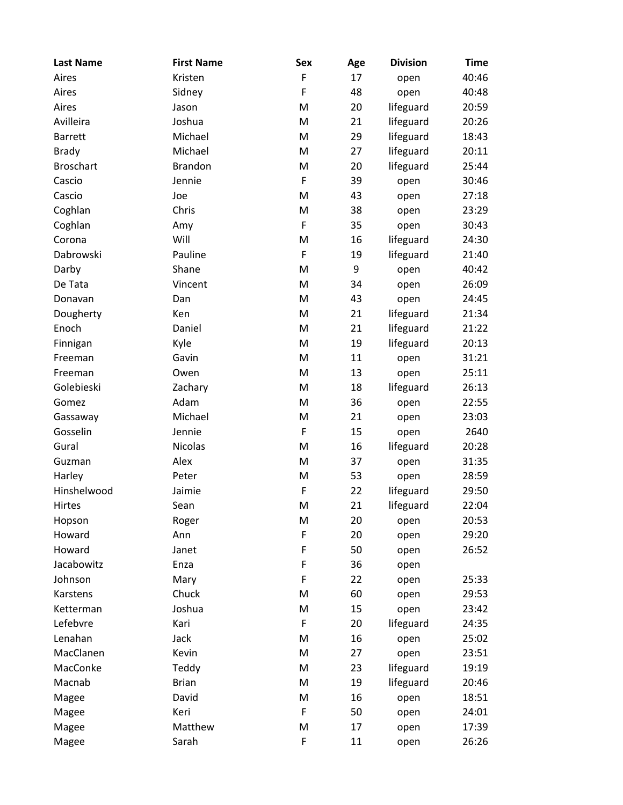| <b>Last Name</b> | <b>First Name</b> | <b>Sex</b>  | Age | <b>Division</b> | <b>Time</b> |
|------------------|-------------------|-------------|-----|-----------------|-------------|
| Aires            | Kristen           | $\mathsf F$ | 17  | open            | 40:46       |
| Aires            | Sidney            | $\mathsf F$ | 48  | open            | 40:48       |
| Aires            | Jason             | M           | 20  | lifeguard       | 20:59       |
| Avilleira        | Joshua            | M           | 21  | lifeguard       | 20:26       |
| <b>Barrett</b>   | Michael           | M           | 29  | lifeguard       | 18:43       |
| <b>Brady</b>     | Michael           | M           | 27  | lifeguard       | 20:11       |
| <b>Broschart</b> | <b>Brandon</b>    | M           | 20  | lifeguard       | 25:44       |
| Cascio           | Jennie            | F           | 39  | open            | 30:46       |
| Cascio           | Joe               | M           | 43  | open            | 27:18       |
| Coghlan          | Chris             | M           | 38  | open            | 23:29       |
| Coghlan          | Amy               | $\mathsf F$ | 35  | open            | 30:43       |
| Corona           | Will              | M           | 16  | lifeguard       | 24:30       |
| Dabrowski        | Pauline           | $\mathsf F$ | 19  | lifeguard       | 21:40       |
| Darby            | Shane             | M           | 9   | open            | 40:42       |
| De Tata          | Vincent           | M           | 34  | open            | 26:09       |
| Donavan          | Dan               | M           | 43  | open            | 24:45       |
| Dougherty        | Ken               | M           | 21  | lifeguard       | 21:34       |
| Enoch            | Daniel            | M           | 21  | lifeguard       | 21:22       |
| Finnigan         | Kyle              | M           | 19  | lifeguard       | 20:13       |
| Freeman          | Gavin             | M           | 11  | open            | 31:21       |
| Freeman          | Owen              | M           | 13  | open            | 25:11       |
| Golebieski       | Zachary           | M           | 18  | lifeguard       | 26:13       |
| Gomez            | Adam              | M           | 36  | open            | 22:55       |
| Gassaway         | Michael           | M           | 21  | open            | 23:03       |
| Gosselin         | Jennie            | $\mathsf F$ | 15  | open            | 2640        |
| Gural            | <b>Nicolas</b>    | M           | 16  | lifeguard       | 20:28       |
| Guzman           | Alex              | M           | 37  | open            | 31:35       |
| Harley           | Peter             | M           | 53  | open            | 28:59       |
| Hinshelwood      | Jaimie            | $\mathsf F$ | 22  | lifeguard       | 29:50       |
| Hirtes           | Sean              | M           | 21  | lifeguard       | 22:04       |
| Hopson           | Roger             | M           | 20  | open            | 20:53       |
| Howard           | Ann               | $\mathsf F$ | 20  | open            | 29:20       |
| Howard           | Janet             | $\mathsf F$ | 50  | open            | 26:52       |
| Jacabowitz       | Enza              | $\mathsf F$ | 36  | open            |             |
| Johnson          | Mary              | $\mathsf F$ | 22  | open            | 25:33       |
| Karstens         | Chuck             | M           | 60  | open            | 29:53       |
| Ketterman        | Joshua            | M           | 15  | open            | 23:42       |
| Lefebvre         | Kari              | F           | 20  | lifeguard       | 24:35       |
| Lenahan          | Jack              | M           | 16  | open            | 25:02       |
| MacClanen        | Kevin             | M           | 27  | open            | 23:51       |
| MacConke         | Teddy             | M           | 23  | lifeguard       | 19:19       |
| Macnab           | <b>Brian</b>      | M           | 19  | lifeguard       | 20:46       |
| Magee            | David             | M           | 16  | open            | 18:51       |
| Magee            | Keri              | F           | 50  | open            | 24:01       |
| Magee            | Matthew           | M           | 17  | open            | 17:39       |
| Magee            | Sarah             | $\mathsf F$ | 11  | open            | 26:26       |